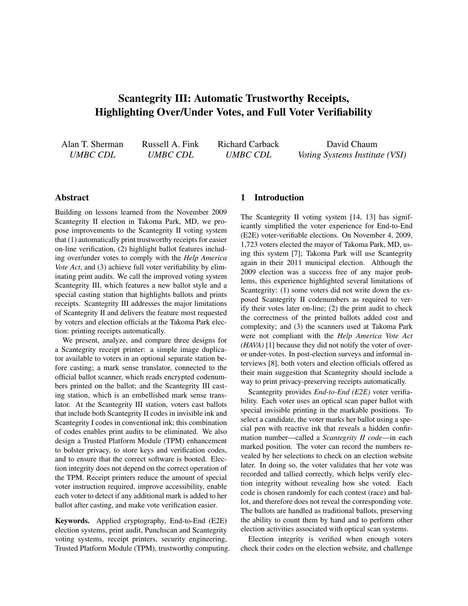# Scantegrity III: Automatic Trustworthy Receipts, Highlighting Over/Under Votes, and Full Voter Verifiability

Alan T. Sherman *UMBC CDL*

Russell A. Fink *UMBC CDL*

Richard Carback *UMBC CDL*

David Chaum *Voting Systems Institute (VSI)*

# Abstract

Building on lessons learned from the November 2009 Scantegrity II election in Takoma Park, MD, we propose improvements to the Scantegrity II voting system that (1) automatically print trustworthy receipts for easier on-line verification, (2) highlight ballot features including over/under votes to comply with the *Help America Vote Act*, and (3) achieve full voter verifiability by eliminating print audits. We call the improved voting system Scantegrity III, which features a new ballot style and a special casting station that highlights ballots and prints receipts. Scantegrity III addresses the major limitations of Scantegrity II and delivers the feature most requested by voters and election officials at the Takoma Park election: printing receipts automatically.

We present, analyze, and compare three designs for a Scantegrity receipt printer: a simple image duplicator available to voters in an optional separate station before casting; a mark sense translator, connected to the official ballot scanner, which reads encrypted codenumbers printed on the ballot; and the Scantegrity III casting station, which is an embellished mark sense translator. At the Scantegrity III station, voters cast ballots that include both Scantegrity II codes in invisible ink and Scantegrity I codes in conventional ink; this combination of codes enables print audits to be eliminated. We also design a Trusted Platform Module (TPM) enhancement to bolster privacy, to store keys and verification codes, and to ensure that the correct software is booted. Election integrity does not depend on the correct operation of the TPM. Receipt printers reduce the amount of special voter instruction required, improve accessibility, enable each voter to detect if any additional mark is added to her ballot after casting, and make vote verification easier.

Keywords. Applied cryptography, End-to-End (E2E) election systems, print audit, Punchscan and Scantegrity voting systems, receipt printers, security engineering, Trusted Platform Module (TPM), trustworthy computing.

### 1 Introduction

The Scantegrity II voting system [\[14,](#page-14-0) [13\]](#page-14-1) has significantly simplified the voter experience for End-to-End (E2E) voter-verifiable elections. On November 4, 2009, 1,723 voters elected the mayor of Takoma Park, MD, using this system [\[7\]](#page-13-0); Takoma Park will use Scantegrity again in their 2011 municipal election. Although the 2009 election was a success free of any major problems, this experience highlighted several limitations of Scantegrity: (1) some voters did not write down the exposed Scantegrity II codenumbers as required to verify their votes later on-line; (2) the print audit to check the correctness of the printed ballots added cost and complexity; and (3) the scanners used at Takoma Park were not compliant with the *Help America Vote Act (HAVA)* [\[1\]](#page-13-1) because they did not notify the voter of overor under-votes. In post-election surveys and informal interviews [\[8\]](#page-13-2), both voters and election officials offered as their main suggestion that Scantegrity should include a way to print privacy-preserving receipts automatically.

Scantegrity provides *End-to-End (E2E)* voter verifiability. Each voter uses an optical scan paper ballot with special invisible printing in the markable positions. To select a candidate, the voter marks her ballot using a special pen with reactive ink that reveals a hidden confirmation number—called a *Scantegrity II code*—in each marked position. The voter can record the numbers revealed by her selections to check on an election website later. In doing so, the voter validates that her vote was recorded and tallied correctly, which helps verify election integrity without revealing how she voted. Each code is chosen randomly for each contest (race) and ballot, and therefore does not reveal the corresponding vote. The ballots are handled as traditional ballots, preserving the ability to count them by hand and to perform other election activities associated with optical scan systems.

Election integrity is verified when enough voters check their codes on the election website, and challenge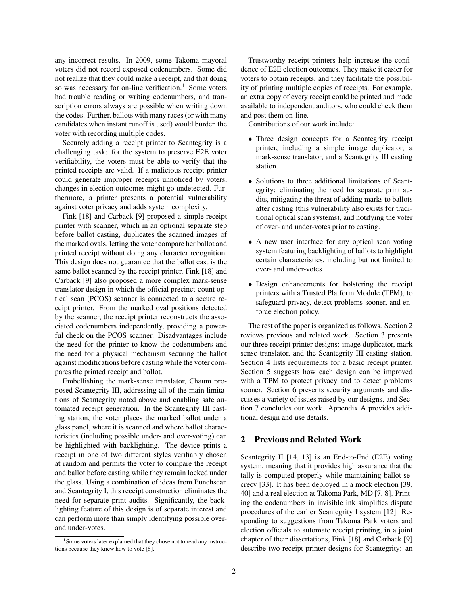any incorrect results. In 2009, some Takoma mayoral voters did not record exposed codenumbers. Some did not realize that they could make a receipt, and that doing so was necessary for on-line verification.<sup>[1](#page-1-0)</sup> Some voters had trouble reading or writing codenumbers, and transcription errors always are possible when writing down the codes. Further, ballots with many races (or with many candidates when instant runoff is used) would burden the voter with recording multiple codes.

Securely adding a receipt printer to Scantegrity is a challenging task: for the system to preserve E2E voter verifiability, the voters must be able to verify that the printed receipts are valid. If a malicious receipt printer could generate improper receipts unnoticed by voters, changes in election outcomes might go undetected. Furthermore, a printer presents a potential vulnerability against voter privacy and adds system complexity.

Fink [\[18\]](#page-14-2) and Carback [\[9\]](#page-13-3) proposed a simple receipt printer with scanner, which in an optional separate step before ballot casting, duplicates the scanned images of the marked ovals, letting the voter compare her ballot and printed receipt without doing any character recognition. This design does not guarantee that the ballot cast is the same ballot scanned by the receipt printer. Fink [\[18\]](#page-14-2) and Carback [\[9\]](#page-13-3) also proposed a more complex mark-sense translator design in which the official precinct-count optical scan (PCOS) scanner is connected to a secure receipt printer. From the marked oval positions detected by the scanner, the receipt printer reconstructs the associated codenumbers independently, providing a powerful check on the PCOS scanner. Disadvantages include the need for the printer to know the codenumbers and the need for a physical mechanism securing the ballot against modifications before casting while the voter compares the printed receipt and ballot.

Embellishing the mark-sense translator, Chaum proposed Scantegrity III, addressing all of the main limitations of Scantegrity noted above and enabling safe automated receipt generation. In the Scantegrity III casting station, the voter places the marked ballot under a glass panel, where it is scanned and where ballot characteristics (including possible under- and over-voting) can be highlighted with backlighting. The device prints a receipt in one of two different styles verifiably chosen at random and permits the voter to compare the receipt and ballot before casting while they remain locked under the glass. Using a combination of ideas from Punchscan and Scantegrity I, this receipt construction eliminates the need for separate print audits. Significantly, the backlighting feature of this design is of separate interest and can perform more than simply identifying possible overand under-votes.

Trustworthy receipt printers help increase the confidence of E2E election outcomes. They make it easier for voters to obtain receipts, and they facilitate the possibility of printing multiple copies of receipts. For example, an extra copy of every receipt could be printed and made available to independent auditors, who could check them and post them on-line.

Contributions of our work include:

- Three design concepts for a Scantegrity receipt printer, including a simple image duplicator, a mark-sense translator, and a Scantegrity III casting station.
- Solutions to three additional limitations of Scantegrity: eliminating the need for separate print audits, mitigating the threat of adding marks to ballots after casting (this vulnerability also exists for traditional optical scan systems), and notifying the voter of over- and under-votes prior to casting.
- A new user interface for any optical scan voting system featuring backlighting of ballots to highlight certain characteristics, including but not limited to over- and under-votes.
- Design enhancements for bolstering the receipt printers with a Trusted Platform Module (TPM), to safeguard privacy, detect problems sooner, and enforce election policy.

The rest of the paper is organized as follows. Section [2](#page-1-1) reviews previous and related work. Section [3](#page-2-0) presents our three receipt printer designs: image duplicator, mark sense translator, and the Scantegrity III casting station. Section [4](#page-7-0) lists requirements for a basic receipt printer. Section [5](#page-8-0) suggests how each design can be improved with a TPM to protect privacy and to detect problems sooner. Section [6](#page-10-0) presents security arguments and discusses a variety of issues raised by our designs, and Section [7](#page-12-0) concludes our work. Appendix [A](#page-15-0) provides additional design and use details.

# <span id="page-1-1"></span>2 Previous and Related Work

Scantegrity II [\[14,](#page-14-0) [13\]](#page-14-1) is an End-to-End (E2E) voting system, meaning that it provides high assurance that the tally is computed properly while maintaining ballot secrecy [\[33\]](#page-14-3). It has been deployed in a mock election [\[39,](#page-15-1) [40\]](#page-15-2) and a real election at Takoma Park, MD [\[7,](#page-13-0) [8\]](#page-13-2). Printing the codenumbers in invisible ink simplifies dispute procedures of the earlier Scantegrity I system [\[12\]](#page-14-4). Responding to suggestions from Takoma Park voters and election officials to automate receipt printing, in a joint chapter of their dissertations, Fink [\[18\]](#page-14-2) and Carback [\[9\]](#page-13-3) describe two receipt printer designs for Scantegrity: an

<span id="page-1-0"></span><sup>&</sup>lt;sup>1</sup>Some voters later explained that they chose not to read any instructions because they knew how to vote [\[8\]](#page-13-2).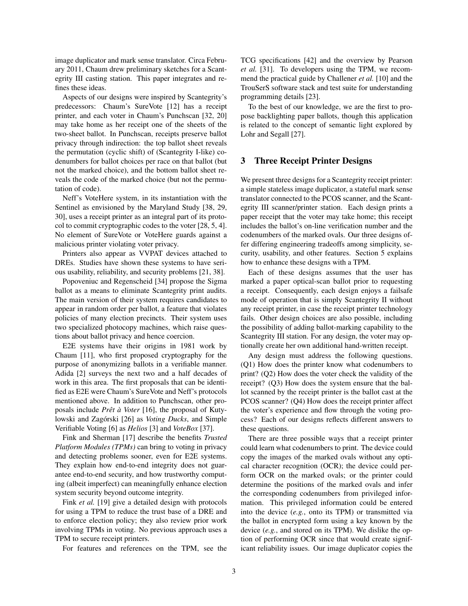image duplicator and mark sense translator. Circa February 2011, Chaum drew preliminary sketches for a Scantegrity III casting station. This paper integrates and refines these ideas.

Aspects of our designs were inspired by Scantegrity's predecessors: Chaum's SureVote [\[12\]](#page-14-4) has a receipt printer, and each voter in Chaum's Punchscan [\[32,](#page-14-5) [20\]](#page-14-6) may take home as her receipt one of the sheets of the two-sheet ballot. In Punchscan, receipts preserve ballot privacy through indirection: the top ballot sheet reveals the permutation (cyclic shift) of (Scantegrity I-like) codenumbers for ballot choices per race on that ballot (but not the marked choice), and the bottom ballot sheet reveals the code of the marked choice (but not the permutation of code).

Neff's VoteHere system, in its instantiation with the Sentinel as envisioned by the Maryland Study [\[38,](#page-14-7) [29,](#page-14-8) [30\]](#page-14-9), uses a receipt printer as an integral part of its protocol to commit cryptographic codes to the voter [\[28,](#page-14-10) [5,](#page-13-4) [4\]](#page-13-5). No element of SureVote or VoteHere guards against a malicious printer violating voter privacy.

Printers also appear as VVPAT devices attached to DREs. Studies have shown these systems to have serious usability, reliability, and security problems [\[21,](#page-14-11) [38\]](#page-14-7).

Popoveniuc and Regenscheid [\[34\]](#page-14-12) propose the Sigma ballot as a means to eliminate Scantegrity print audits. The main version of their system requires candidates to appear in random order per ballot, a feature that violates policies of many election precincts. Their system uses two specialized photocopy machines, which raise questions about ballot privacy and hence coercion.

E2E systems have their origins in 1981 work by Chaum [\[11\]](#page-14-13), who first proposed cryptography for the purpose of anonymizing ballots in a verifiable manner. Adida [\[2\]](#page-13-6) surveys the next two and a half decades of work in this area. The first proposals that can be identified as E2E were Chaum's SureVote and Neff's protocols mentioned above. In addition to Punchscan, other proposals include *Prêt* à Voter [\[16\]](#page-14-14), the proposal of Kuty-lowski and Zagórski [[26\]](#page-14-15) as *Voting Ducks*, and Simple Verifiable Voting [\[6\]](#page-13-7) as *Helios* [\[3\]](#page-13-8) and *VoteBox* [\[37\]](#page-14-16).

Fink and Sherman [\[17\]](#page-14-17) describe the benefits *Trusted Platform Modules (TPMs)* can bring to voting in privacy and detecting problems sooner, even for E2E systems. They explain how end-to-end integrity does not guarantee end-to-end security, and how trustworthy computing (albeit imperfect) can meaningfully enhance election system security beyond outcome integrity.

Fink *et al.* [\[19\]](#page-14-18) give a detailed design with protocols for using a TPM to reduce the trust base of a DRE and to enforce election policy; they also review prior work involving TPMs in voting. No previous approach uses a TPM to secure receipt printers.

For features and references on the TPM, see the

TCG specifications [\[42\]](#page-15-3) and the overview by Pearson *et al.* [\[31\]](#page-14-19). To developers using the TPM, we recommend the practical guide by Challener *et al.* [\[10\]](#page-14-20) and the TrouSerS software stack and test suite for understanding programming details [\[23\]](#page-14-21).

To the best of our knowledge, we are the first to propose backlighting paper ballots, though this application is related to the concept of semantic light explored by Lohr and Segall [\[27\]](#page-14-22).

# <span id="page-2-0"></span>3 Three Receipt Printer Designs

We present three designs for a Scantegrity receipt printer: a simple stateless image duplicator, a stateful mark sense translator connected to the PCOS scanner, and the Scantegrity III scanner/printer station. Each design prints a paper receipt that the voter may take home; this receipt includes the ballot's on-line verification number and the codenumbers of the marked ovals. Our three designs offer differing engineering tradeoffs among simplicity, security, usability, and other features. Section [5](#page-8-0) explains how to enhance these designs with a TPM.

Each of these designs assumes that the user has marked a paper optical-scan ballot prior to requesting a receipt. Consequently, each design enjoys a failsafe mode of operation that is simply Scantegrity II without any receipt printer, in case the receipt printer technology fails. Other design choices are also possible, including the possibility of adding ballot-marking capability to the Scantegrity III station. For any design, the voter may optionally create her own additional hand-written receipt.

Any design must address the following questions. (Q1) How does the printer know what codenumbers to print? (Q2) How does the voter check the validity of the receipt? (Q3) How does the system ensure that the ballot scanned by the receipt printer is the ballot cast at the PCOS scanner? (Q4) How does the receipt printer affect the voter's experience and flow through the voting process? Each of our designs reflects different answers to these questions.

There are three possible ways that a receipt printer could learn what codenumbers to print. The device could copy the images of the marked ovals without any optical character recognition (OCR); the device could perform OCR on the marked ovals; or the printer could determine the positions of the marked ovals and infer the corresponding codenumbers from privileged information. This privileged information could be entered into the device (*e.g.*, onto its TPM) or transmitted via the ballot in encrypted form using a key known by the device (*e.g.*, and stored on its TPM). We dislike the option of performing OCR since that would create significant reliability issues. Our image duplicator copies the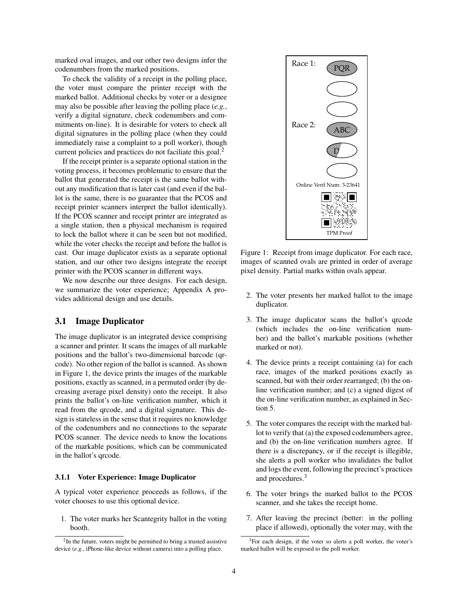marked oval images, and our other two designs infer the codenumbers from the marked positions.

To check the validity of a receipt in the polling place, the voter must compare the printer receipt with the marked ballot. Additional checks by voter or a designee may also be possible after leaving the polling place (*e.g.*, verify a digital signature, check codenumbers and commitments on-line). It is desirable for voters to check all digital signatures in the polling place (when they could immediately raise a complaint to a poll worker), though current policies and practices do not faciliate this goal.<sup>[2](#page-3-0)</sup>

If the receipt printer is a separate optional station in the voting process, it becomes problematic to ensure that the ballot that generated the receipt is the same ballot without any modification that is later cast (and even if the ballot is the same, there is no guarantee that the PCOS and receipt printer scanners interpret the ballot identically). If the PCOS scanner and receipt printer are integrated as a single station, then a physical mechanism is required to lock the ballot where it can be seen but not modified, while the voter checks the receipt and before the ballot is cast. Our image duplicator exists as a separate optional station, and our other two designs integrate the receipt printer with the PCOS scanner in different ways.

We now describe our three designs. For each design, we summarize the voter experience; Appendix [A](#page-15-0) provides additional design and use details.

# 3.1 Image Duplicator

The image duplicator is an integrated device comprising a scanner and printer. It scans the images of all markable positions and the ballot's two-dimensional barcode (qrcode). No other region of the ballot is scanned. As shown in Figure [1,](#page-3-1) the device prints the images of the markable positions, exactly as scanned, in a permuted order (by decreasing average pixel density) onto the receipt. It also prints the ballot's on-line verification number, which it read from the qrcode, and a digital signature. This design is stateless in the sense that it requires no knowledge of the codenumbers and no connections to the separate PCOS scanner. The device needs to know the locations of the markable positions, which can be communicated in the ballot's qrcode.

#### 3.1.1 Voter Experience: Image Duplicator

A typical voter experience proceeds as follows, if the voter chooses to use this optional device.

1. The voter marks her Scantegrity ballot in the voting booth.



<span id="page-3-1"></span>Figure 1: Receipt from image duplicator. For each race, images of scanned ovals are printed in order of average pixel density. Partial marks within ovals appear.

- 2. The voter presents her marked ballot to the image duplicator.
- 3. The image duplicator scans the ballot's qrcode (which includes the on-line verification number) and the ballot's markable positions (whether marked or not).
- 4. The device prints a receipt containing (a) for each race, images of the marked positions exactly as scanned, but with their order rearranged; (b) the online verification number; and (c) a signed digest of the on-line verification number, as explained in Section [5.](#page-8-0)
- 5. The voter compares the receipt with the marked ballot to verify that (a) the exposed codenumbers agree, and (b) the on-line verification numbers agree. If there is a discrepancy, or if the receipt is illegible, she alerts a poll worker who invalidates the ballot and logs the event, following the precinct's practices and procedures.[3](#page-3-2)
- 6. The voter brings the marked ballot to the PCOS scanner, and she takes the receipt home.
- 7. After leaving the precinct (better: in the polling place if allowed), optionally the voter may, with the

<span id="page-3-0"></span> $2$ In the future, voters might be permitted to bring a trusted assistive device (*e.g.*, iPhone-like device without camera) into a polling place.

<span id="page-3-2"></span> $3$ For each design, if the voter so alerts a poll worker, the voter's marked ballot will be exposed to the poll worker.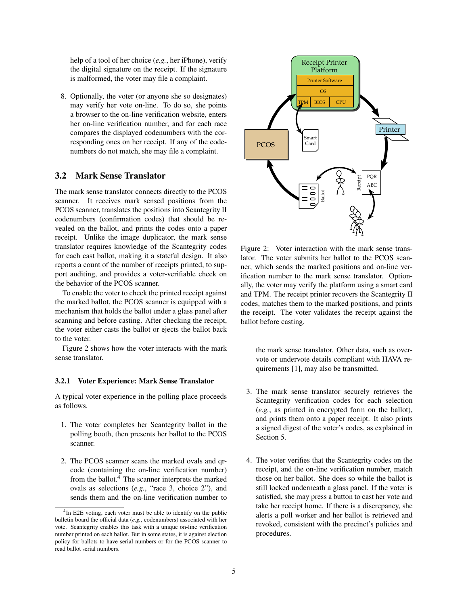help of a tool of her choice (*e.g.*, her iPhone), verify the digital signature on the receipt. If the signature is malformed, the voter may file a complaint.

8. Optionally, the voter (or anyone she so designates) may verify her vote on-line. To do so, she points a browser to the on-line verification website, enters her on-line verification number, and for each race compares the displayed codenumbers with the corresponding ones on her receipt. If any of the codenumbers do not match, she may file a complaint.

### 3.2 Mark Sense Translator

The mark sense translator connects directly to the PCOS scanner. It receives mark sensed positions from the PCOS scanner, translates the positions into Scantegrity II codenumbers (confirmation codes) that should be revealed on the ballot, and prints the codes onto a paper receipt. Unlike the image duplicator, the mark sense translator requires knowledge of the Scantegrity codes for each cast ballot, making it a stateful design. It also reports a count of the number of receipts printed, to support auditing, and provides a voter-verifiable check on the behavior of the PCOS scanner.

To enable the voter to check the printed receipt against the marked ballot, the PCOS scanner is equipped with a mechanism that holds the ballot under a glass panel after scanning and before casting. After checking the receipt, the voter either casts the ballot or ejects the ballot back to the voter.

Figure [2](#page-4-0) shows how the voter interacts with the mark sense translator.

#### 3.2.1 Voter Experience: Mark Sense Translator

A typical voter experience in the polling place proceeds as follows.

- 1. The voter completes her Scantegrity ballot in the polling booth, then presents her ballot to the PCOS scanner.
- 2. The PCOS scanner scans the marked ovals and qrcode (containing the on-line verification number) from the ballot. $4$  The scanner interprets the marked ovals as selections (*e.g.*, "race 3, choice 2"), and sends them and the on-line verification number to



<span id="page-4-0"></span>Figure 2: Voter interaction with the mark sense translator. The voter submits her ballot to the PCOS scanner, which sends the marked positions and on-line verification number to the mark sense translator. Optionally, the voter may verify the platform using a smart card and TPM. The receipt printer recovers the Scantegrity II codes, matches them to the marked positions, and prints the receipt. The voter validates the receipt against the ballot before casting.

the mark sense translator. Other data, such as overvote or undervote details compliant with HAVA requirements [\[1\]](#page-13-1), may also be transmitted.

- 3. The mark sense translator securely retrieves the Scantegrity verification codes for each selection (*e.g.*, as printed in encrypted form on the ballot), and prints them onto a paper receipt. It also prints a signed digest of the voter's codes, as explained in Section [5.](#page-8-0)
- 4. The voter verifies that the Scantegrity codes on the receipt, and the on-line verification number, match those on her ballot. She does so while the ballot is still locked underneath a glass panel. If the voter is satisfied, she may press a button to cast her vote and take her receipt home. If there is a discrepancy, she alerts a poll worker and her ballot is retrieved and revoked, consistent with the precinct's policies and procedures.

<span id="page-4-1"></span><sup>&</sup>lt;sup>4</sup>In E2E voting, each voter must be able to identify on the public bulletin board the official data (*e.g.*, codenumbers) associated with her vote. Scantegrity enables this task with a unique on-line verification number printed on each ballot. But in some states, it is against election policy for ballots to have serial numbers or for the PCOS scanner to read ballot serial numbers.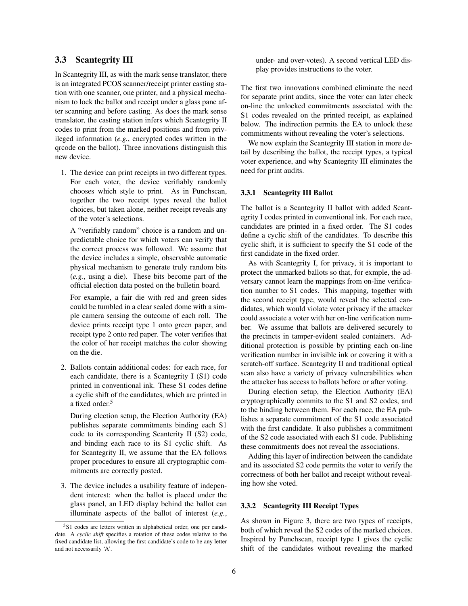# 3.3 Scantegrity III

In Scantegrity III, as with the mark sense translator, there is an integrated PCOS scanner/receipt printer casting station with one scanner, one printer, and a physical mechanism to lock the ballot and receipt under a glass pane after scanning and before casting. As does the mark sense translator, the casting station infers which Scantegrity II codes to print from the marked positions and from privileged information (*e.g.*, encrypted codes written in the qrcode on the ballot). Three innovations distinguish this new device.

1. The device can print receipts in two different types. For each voter, the device verifiably randomly chooses which style to print. As in Punchscan, together the two receipt types reveal the ballot choices, but taken alone, neither receipt reveals any of the voter's selections.

A "verifiably random" choice is a random and unpredictable choice for which voters can verify that the correct process was followed. We assume that the device includes a simple, observable automatic physical mechanism to generate truly random bits (*e.g.*, using a die). These bits become part of the official election data posted on the bulletin board.

For example, a fair die with red and green sides could be tumbled in a clear sealed dome with a simple camera sensing the outcome of each roll. The device prints receipt type 1 onto green paper, and receipt type 2 onto red paper. The voter verifies that the color of her receipt matches the color showing on the die.

2. Ballots contain additional codes: for each race, for each candidate, there is a Scantegrity I (S1) code printed in conventional ink. These S1 codes define a cyclic shift of the candidates, which are printed in a fixed order.<sup>[5](#page-5-0)</sup>

During election setup, the Election Authority (EA) publishes separate commitments binding each S1 code to its corresponding Scanterity II (S2) code, and binding each race to its S1 cyclic shift. As for Scantegrity II, we assume that the EA follows proper procedures to ensure all cryptographic commitments are correctly posted.

3. The device includes a usability feature of independent interest: when the ballot is placed under the glass panel, an LED display behind the ballot can illuminate aspects of the ballot of interest (*e.g.*, under- and over-votes). A second vertical LED display provides instructions to the voter.

The first two innovations combined eliminate the need for separate print audits, since the voter can later check on-line the unlocked commitments associated with the S1 codes revealed on the printed receipt, as explained below. The indirection permits the EA to unlock these commitments without revealing the voter's selections.

We now explain the Scantegrity III station in more detail by describing the ballot, the receipt types, a typical voter experience, and why Scantegrity III eliminates the need for print audits.

### 3.3.1 Scantegrity III Ballot

The ballot is a Scantegrity II ballot with added Scantegrity I codes printed in conventional ink. For each race, candidates are printed in a fixed order. The S1 codes define a cyclic shift of the candidates. To describe this cyclic shift, it is sufficient to specify the S1 code of the first candidate in the fixed order.

As with Scantegrity I, for privacy, it is important to protect the unmarked ballots so that, for exmple, the adversary cannot learn the mappings from on-line verification number to S1 codes. This mapping, together with the second receipt type, would reveal the selected candidates, which would violate voter privacy if the attacker could associate a voter with her on-line verification number. We assume that ballots are delivered securely to the precincts in tamper-evident sealed containers. Additional protection is possible by printing each on-line verification number in invisible ink or covering it with a scratch-off surface. Scantegrity II and traditional optical scan also have a variety of privacy vulnerabilities when the attacker has access to ballots before or after voting.

During election setup, the Election Authority (EA) cryptographically commits to the S1 and S2 codes, and to the binding between them. For each race, the EA publishes a separate commitment of the S1 code associated with the first candidate. It also publishes a commitment of the S2 code associated with each S1 code. Publishing these commitments does not reveal the associations.

Adding this layer of indirection between the candidate and its associated S2 code permits the voter to verify the correctness of both her ballot and receipt without revealing how she voted.

### 3.3.2 Scantegrity III Receipt Types

As shown in Figure [3,](#page-6-0) there are two types of receipts, both of which reveal the S2 codes of the marked choices. Inspired by Punchscan, receipt type 1 gives the cyclic shift of the candidates without revealing the marked

<span id="page-5-0"></span><sup>5</sup>S1 codes are letters written in alphabetical order, one per candidate. A *cyclic shift* specifies a rotation of these codes relative to the fixed candidate list, allowing the first candidate's code to be any letter and not necessarily 'A'.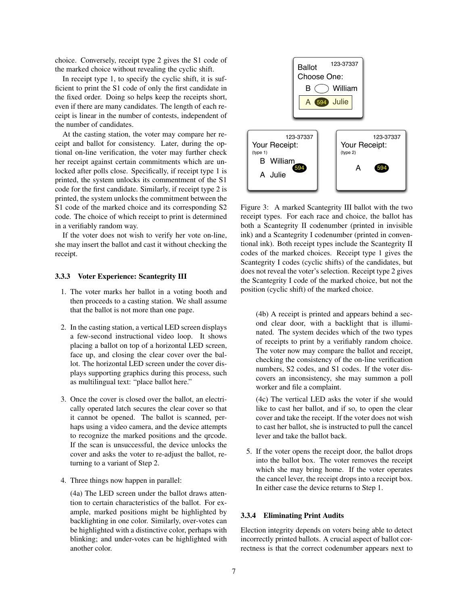choice. Conversely, receipt type 2 gives the S1 code of the marked choice without revealing the cyclic shift.

In receipt type 1, to specify the cyclic shift, it is sufficient to print the S1 code of only the first candidate in the fixed order. Doing so helps keep the receipts short, even if there are many candidates. The length of each receipt is linear in the number of contests, independent of the number of candidates.

At the casting station, the voter may compare her receipt and ballot for consistency. Later, during the optional on-line verification, the voter may further check her receipt against certain commitments which are unlocked after polls close. Specifically, if receipt type 1 is printed, the system unlocks its commentment of the S1 code for the first candidate. Similarly, if receipt type 2 is printed, the system unlocks the commitment between the S1 code of the marked choice and its corresponding S2 code. The choice of which receipt to print is determined in a verifiably random way.

If the voter does not wish to verify her vote on-line, she may insert the ballot and cast it without checking the receipt.

#### 3.3.3 Voter Experience: Scantegrity III

- 1. The voter marks her ballot in a voting booth and then proceeds to a casting station. We shall assume that the ballot is not more than one page.
- 2. In the casting station, a vertical LED screen displays a few-second instructional video loop. It shows placing a ballot on top of a horizontal LED screen, face up, and closing the clear cover over the ballot. The horizontal LED screen under the cover displays supporting graphics during this process, such as multilingual text: "place ballot here."
- 3. Once the cover is closed over the ballot, an electrically operated latch secures the clear cover so that it cannot be opened. The ballot is scanned, perhaps using a video camera, and the device attempts to recognize the marked positions and the qrcode. If the scan is unsuccessful, the device unlocks the cover and asks the voter to re-adjust the ballot, returning to a variant of Step 2.
- 4. Three things now happen in parallel:

(4a) The LED screen under the ballot draws attention to certain characteristics of the ballot. For example, marked positions might be highlighted by backlighting in one color. Similarly, over-votes can be highlighted with a distinctive color, perhaps with blinking; and under-votes can be highlighted with another color.



<span id="page-6-0"></span>Figure 3: A marked Scantegrity III ballot with the two receipt types. For each race and choice, the ballot has both a Scantegrity II codenumber (printed in invisible ink) and a Scantegrity I codenumber (printed in conventional ink). Both receipt types include the Scantegrity II codes of the marked choices. Receipt type 1 gives the Scantegrity I codes (cyclic shifts) of the candidates, but does not reveal the voter's selection. Receipt type 2 gives the Scantegrity I code of the marked choice, but not the position (cyclic shift) of the marked choice.

(4b) A receipt is printed and appears behind a second clear door, with a backlight that is illuminated. The system decides which of the two types of receipts to print by a verifiably random choice. The voter now may compare the ballot and receipt, checking the consistency of the on-line verification numbers, S2 codes, and S1 codes. If the voter discovers an inconsistency, she may summon a poll worker and file a complaint.

(4c) The vertical LED asks the voter if she would like to cast her ballot, and if so, to open the clear cover and take the receipt. If the voter does not wish to cast her ballot, she is instructed to pull the cancel lever and take the ballot back.

5. If the voter opens the receipt door, the ballot drops into the ballot box. The voter removes the receipt which she may bring home. If the voter operates the cancel lever, the receipt drops into a receipt box. In either case the device returns to Step 1.

### 3.3.4 Eliminating Print Audits

Election integrity depends on voters being able to detect incorrectly printed ballots. A crucial aspect of ballot correctness is that the correct codenumber appears next to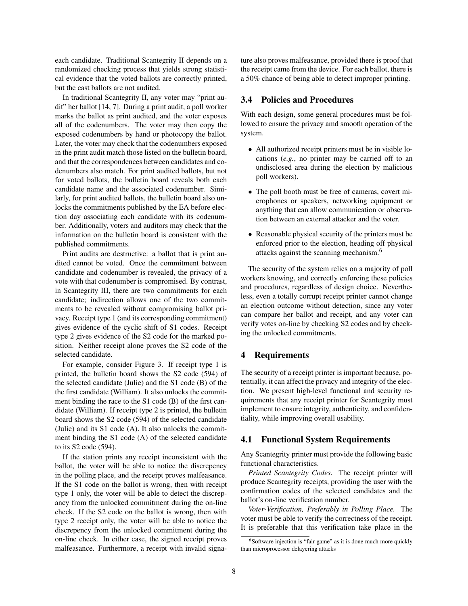each candidate. Traditional Scantegrity II depends on a randomized checking process that yields strong statistical evidence that the voted ballots are correctly printed, but the cast ballots are not audited.

In traditional Scantegrity II, any voter may "print audit" her ballot [\[14,](#page-14-0) [7\]](#page-13-0). During a print audit, a poll worker marks the ballot as print audited, and the voter exposes all of the codenumbers. The voter may then copy the exposed codenumbers by hand or photocopy the ballot. Later, the voter may check that the codenumbers exposed in the print audit match those listed on the bulletin board, and that the correspondences between candidates and codenumbers also match. For print audited ballots, but not for voted ballots, the bulletin board reveals both each candidate name and the associated codenumber. Similarly, for print audited ballots, the bulletin board also unlocks the commitments published by the EA before election day associating each candidate with its codenumber. Additionally, voters and auditors may check that the information on the bulletin board is consistent with the published commitments.

Print audits are destructive: a ballot that is print audited cannot be voted. Once the commitment between candidate and codenumber is revealed, the privacy of a vote with that codenumber is compromised. By contrast, in Scantegrity III, there are two commitments for each candidate; indirection allows one of the two commitments to be revealed without compromising ballot privacy. Receipt type 1 (and its corresponding commitment) gives evidence of the cyclic shift of S1 codes. Receipt type 2 gives evidence of the S2 code for the marked position. Neither receipt alone proves the S2 code of the selected candidate.

For example, consider Figure [3.](#page-6-0) If receipt type 1 is printed, the bulletin board shows the S2 code (594) of the selected candidate (Julie) and the S1 code (B) of the the first candidate (William). It also unlocks the commitment binding the race to the S1 code (B) of the first candidate (William). If receipt type 2 is printed, the bulletin board shows the S2 code (594) of the selected candidate (Julie) and its S1 code (A). It also unlocks the commitment binding the S1 code (A) of the selected candidate to its S2 code (594).

If the station prints any receipt inconsistent with the ballot, the voter will be able to notice the discrepency in the polling place, and the receipt proves malfeasance. If the S1 code on the ballot is wrong, then with receipt type 1 only, the voter will be able to detect the discrepancy from the unlocked commitment during the on-line check. If the S2 code on the ballot is wrong, then with type 2 receipt only, the voter will be able to notice the discrepency from the unlocked commitment during the on-line check. In either case, the signed receipt proves malfeasance. Furthermore, a receipt with invalid signature also proves malfeasance, provided there is proof that the receipt came from the device. For each ballot, there is a 50% chance of being able to detect improper printing.

# 3.4 Policies and Procedures

With each design, some general procedures must be followed to ensure the privacy amd smooth operation of the system.

- All authorized receipt printers must be in visible locations (*e.g.*, no printer may be carried off to an undisclosed area during the election by malicious poll workers).
- The poll booth must be free of cameras, covert microphones or speakers, networking equipment or anything that can allow communication or observation between an external attacker and the voter.
- Reasonable physical security of the printers must be enforced prior to the election, heading off physical attacks against the scanning mechanism.[6](#page-7-1)

The security of the system relies on a majority of poll workers knowing, and correctly enforcing these policies and procedures, regardless of design choice. Nevertheless, even a totally corrupt receipt printer cannot change an election outcome without detection, since any voter can compare her ballot and receipt, and any voter can verify votes on-line by checking S2 codes and by checking the unlocked commitments.

# <span id="page-7-0"></span>4 Requirements

The security of a receipt printer is important because, potentially, it can affect the privacy and integrity of the election. We present high-level functional and security requirements that any receipt printer for Scantegrity must implement to ensure integrity, authenticity, and confidentiality, while improving overall usability.

# 4.1 Functional System Requirements

Any Scantegrity printer must provide the following basic functional characteristics.

*Printed Scantegrity Codes.* The receipt printer will produce Scantegrity receipts, providing the user with the confirmation codes of the selected candidates and the ballot's on-line verification number.

*Voter-Verification, Preferably in Polling Place.* The voter must be able to verify the correctness of the receipt. It is preferable that this verification take place in the

<span id="page-7-1"></span> $6$ Software injection is "fair game" as it is done much more quickly than microprocessor delayering attacks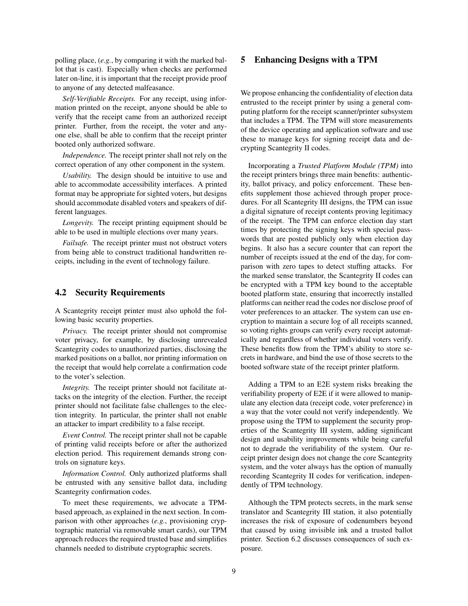polling place, (*e.g.*, by comparing it with the marked ballot that is cast). Especially when checks are performed later on-line, it is important that the receipt provide proof to anyone of any detected malfeasance.

*Self-Verifiable Receipts.* For any receipt, using information printed on the receipt, anyone should be able to verify that the receipt came from an authorized receipt printer. Further, from the receipt, the voter and anyone else, shall be able to confirm that the receipt printer booted only authorized software.

*Independence.* The receipt printer shall not rely on the correct operation of any other component in the system.

*Usability.* The design should be intuitive to use and able to accommodate accessibility interfaces. A printed format may be appropriate for sighted voters, but designs should accommodate disabled voters and speakers of different languages.

*Longevity.* The receipt printing equipment should be able to be used in multiple elections over many years.

*Failsafe.* The receipt printer must not obstruct voters from being able to construct traditional handwritten receipts, including in the event of technology failure.

# 4.2 Security Requirements

A Scantegrity receipt printer must also uphold the following basic security properties.

*Privacy.* The receipt printer should not compromise voter privacy, for example, by disclosing unrevealed Scantegrity codes to unauthorized parties, disclosing the marked positions on a ballot, nor printing information on the receipt that would help correlate a confirmation code to the voter's selection.

*Integrity.* The receipt printer should not facilitate attacks on the integrity of the election. Further, the receipt printer should not facilitate false challenges to the election integrity. In particular, the printer shall not enable an attacker to impart credibility to a false receipt.

*Event Control.* The receipt printer shall not be capable of printing valid receipts before or after the authorized election period. This requirement demands strong controls on signature keys.

*Information Control.* Only authorized platforms shall be entrusted with any sensitive ballot data, including Scantegrity confirmation codes.

To meet these requirements, we advocate a TPMbased approach, as explained in the next section. In comparison with other approaches (*e.g.*, provisioning cryptographic material via removable smart cards), our TPM approach reduces the required trusted base and simplifies channels needed to distribute cryptographic secrets.

# <span id="page-8-0"></span>5 Enhancing Designs with a TPM

We propose enhancing the confidentiality of election data entrusted to the receipt printer by using a general computing platform for the receipt scanner/printer subsystem that includes a TPM. The TPM will store measurements of the device operating and application software and use these to manage keys for signing receipt data and decrypting Scantegrity II codes.

Incorporating a *Trusted Platform Module (TPM)* into the receipt printers brings three main benefits: authenticity, ballot privacy, and policy enforcement. These benefits supplement those achieved through proper procedures. For all Scantegrity III designs, the TPM can issue a digital signature of receipt contents proving legitimacy of the receipt. The TPM can enforce election day start times by protecting the signing keys with special passwords that are posted publicly only when election day begins. It also has a secure counter that can report the number of receipts issued at the end of the day, for comparison with zero tapes to detect stuffing attacks. For the marked sense translator, the Scantegrity II codes can be encrypted with a TPM key bound to the acceptable booted platform state, ensuring that incorrectly installed platforms can neither read the codes nor disclose proof of voter preferences to an attacker. The system can use encryption to maintain a secure log of all receipts scanned, so voting rights groups can verify every receipt automatically and regardless of whether individual voters verify. These benefits flow from the TPM's ability to store secrets in hardware, and bind the use of those secrets to the booted software state of the receipt printer platform.

Adding a TPM to an E2E system risks breaking the verifiability property of E2E if it were allowed to manipulate any election data (receipt code, voter preference) in a way that the voter could not verify independently. We propose using the TPM to supplement the security properties of the Scantegrity III system, adding significant design and usability improvements while being careful not to degrade the verifiability of the system. Our receipt printer design does not change the core Scantegrity system, and the voter always has the option of manually recording Scantegrity II codes for verification, independently of TPM technology.

Although the TPM protects secrets, in the mark sense translator and Scantegrity III station, it also potentially increases the risk of exposure of codenumbers beyond that caused by using invisible ink and a trusted ballot printer. Section [6.2](#page-11-0) discusses consequences of such exposure.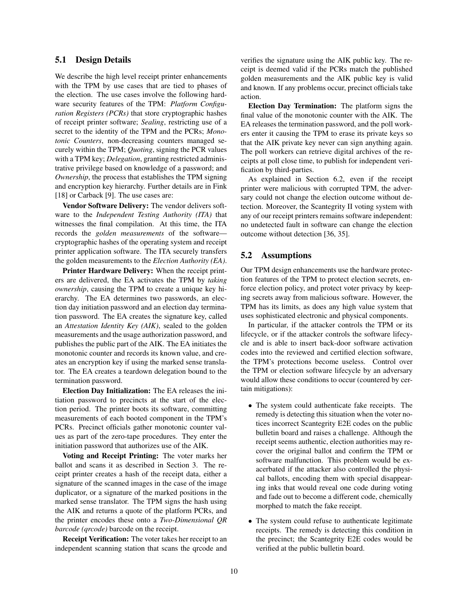# 5.1 Design Details

We describe the high level receipt printer enhancements with the TPM by use cases that are tied to phases of the election. The use cases involve the following hardware security features of the TPM: *Platform Configuration Registers (PCRs)* that store cryptographic hashes of receipt printer software; *Sealing*, restricting use of a secret to the identity of the TPM and the PCRs; *Monotonic Counters*, non-decreasing counters managed securely within the TPM; *Quoting*, signing the PCR values with a TPM key; *Delegation*, granting restricted administrative privilege based on knowledge of a password; and *Ownership*, the process that establishes the TPM signing and encryption key hierarchy. Further details are in Fink [\[18\]](#page-14-2) or Carback [\[9\]](#page-13-3). The use cases are:

Vendor Software Delivery: The vendor delivers software to the *Independent Testing Authority (ITA)* that witnesses the final compilation. At this time, the ITA records the *golden measurements* of the software cryptographic hashes of the operating system and receipt printer application software. The ITA securely transfers the golden measurements to the *Election Authority (EA)*.

Printer Hardware Delivery: When the receipt printers are delivered, the EA activates the TPM by *taking ownership*, causing the TPM to create a unique key hierarchy. The EA determines two passwords, an election day initiation password and an election day termination password. The EA creates the signature key, called an *Attestation Identity Key (AIK)*, sealed to the golden measurements and the usage authorization password, and publishes the public part of the AIK. The EA initiates the monotonic counter and records its known value, and creates an encryption key if using the marked sense translator. The EA creates a teardown delegation bound to the termination password.

Election Day Initialization: The EA releases the initiation password to precincts at the start of the election period. The printer boots its software, committing measurements of each booted component in the TPM's PCRs. Precinct officials gather monotonic counter values as part of the zero-tape procedures. They enter the initiation password that authorizes use of the AIK.

Voting and Receipt Printing: The voter marks her ballot and scans it as described in Section [3.](#page-2-0) The receipt printer creates a hash of the receipt data, either a signature of the scanned images in the case of the image duplicator, or a signature of the marked positions in the marked sense translator. The TPM signs the hash using the AIK and returns a quote of the platform PCRs, and the printer encodes these onto a *Two-Dimensional QR barcode (qrcode)* barcode on the receipt.

Receipt Verification: The voter takes her receipt to an independent scanning station that scans the qrcode and verifies the signature using the AIK public key. The receipt is deemed valid if the PCRs match the published golden measurements and the AIK public key is valid and known. If any problems occur, precinct officials take action.

Election Day Termination: The platform signs the final value of the monotonic counter with the AIK. The EA releases the termination password, and the poll workers enter it causing the TPM to erase its private keys so that the AIK private key never can sign anything again. The poll workers can retrieve digital archives of the receipts at poll close time, to publish for independent verification by third-parties.

As explained in Section [6.2,](#page-11-0) even if the receipt printer were malicious with corrupted TPM, the adversary could not change the election outcome without detection. Moreover, the Scantegrity II voting system with any of our receipt printers remains software independent: no undetected fault in software can change the election outcome without detection [\[36,](#page-14-23) [35\]](#page-14-24).

# 5.2 Assumptions

Our TPM design enhancements use the hardware protection features of the TPM to protect election secrets, enforce election policy, and protect voter privacy by keeping secrets away from malicious software. However, the TPM has its limits, as does any high value system that uses sophisticated electronic and physical components.

In particular, if the attacker controls the TPM or its lifecycle, or if the attacker controls the software lifecycle and is able to insert back-door software activation codes into the reviewed and certified election software, the TPM's protections become useless. Control over the TPM or election software lifecycle by an adversary would allow these conditions to occur (countered by certain mitigations):

- The system could authenticate fake receipts. The remedy is detecting this situation when the voter notices incorrect Scantegrity E2E codes on the public bulletin board and raises a challenge. Although the receipt seems authentic, election authorities may recover the original ballot and confirm the TPM or software malfunction. This problem would be exacerbated if the attacker also controlled the physical ballots, encoding them with special disappearing inks that would reveal one code during voting and fade out to become a different code, chemically morphed to match the fake receipt.
- The system could refuse to authenticate legitimate receipts. The remedy is detecting this condition in the precinct; the Scantegrity E2E codes would be verified at the public bulletin board.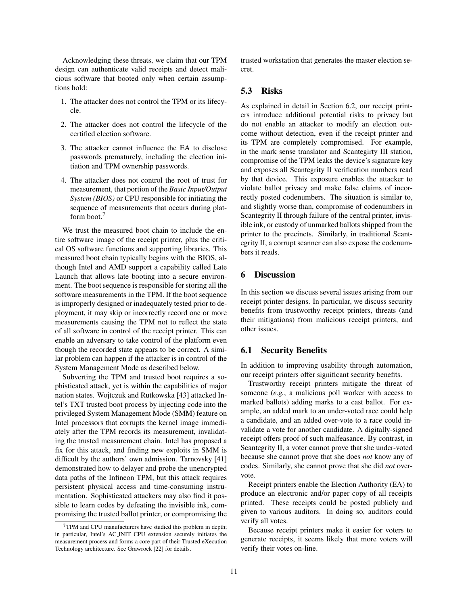Acknowledging these threats, we claim that our TPM design can authenticate valid receipts and detect malicious software that booted only when certain assumptions hold:

- 1. The attacker does not control the TPM or its lifecycle.
- 2. The attacker does not control the lifecycle of the certified election software.
- 3. The attacker cannot influence the EA to disclose passwords prematurely, including the election initiation and TPM ownership passwords.
- 4. The attacker does not control the root of trust for measurement, that portion of the *Basic Input/Output System (BIOS)* or CPU responsible for initiating the sequence of measurements that occurs during platform boot.[7](#page-10-1)

We trust the measured boot chain to include the entire software image of the receipt printer, plus the critical OS software functions and supporting libraries. This measured boot chain typically begins with the BIOS, although Intel and AMD support a capability called Late Launch that allows late booting into a secure environment. The boot sequence is responsible for storing all the software measurements in the TPM. If the boot sequence is improperly designed or inadequately tested prior to deployment, it may skip or incorrectly record one or more measurements causing the TPM not to reflect the state of all software in control of the receipt printer. This can enable an adversary to take control of the platform even though the recorded state appears to be correct. A similar problem can happen if the attacker is in control of the System Management Mode as described below.

Subverting the TPM and trusted boot requires a sophisticated attack, yet is within the capabilities of major nation states. Wojtczuk and Rutkowska [\[43\]](#page-15-4) attacked Intel's TXT trusted boot process by injecting code into the privileged System Management Mode (SMM) feature on Intel processors that corrupts the kernel image immediately after the TPM records its measurement, invalidating the trusted measurement chain. Intel has proposed a fix for this attack, and finding new exploits in SMM is difficult by the authors' own admission. Tarnovsky [\[41\]](#page-15-5) demonstrated how to delayer and probe the unencrypted data paths of the Infineon TPM, but this attack requires persistent physical access and time-consuming instrumentation. Sophisticated attackers may also find it possible to learn codes by defeating the invisible ink, compromising the trusted ballot printer, or compromising the trusted workstation that generates the master election secret.

# 5.3 Risks

As explained in detail in Section [6.2,](#page-11-0) our receipt printers introduce additional potential risks to privacy but do not enable an attacker to modify an election outcome without detection, even if the receipt printer and its TPM are completely compromised. For example, in the mark sense translator and Scantegirty III station, compromise of the TPM leaks the device's signature key and exposes all Scantegrity II verification numbers read by that device. This exposure enables the attacker to violate ballot privacy and make false claims of incorrectly posted codenumbers. The situation is similar to, and slightly worse than, compromise of codenumbers in Scantegrity II through failure of the central printer, invisible ink, or custody of unmarked ballots shipped from the printer to the precincts. Similarly, in traditional Scantegrity II, a corrupt scanner can also expose the codenumbers it reads.

# <span id="page-10-0"></span>6 Discussion

In this section we discuss several issues arising from our receipt printer designs. In particular, we discuss security benefits from trustworthy receipt printers, threats (and their mitigations) from malicious receipt printers, and other issues.

# 6.1 Security Benefits

In addition to improving usability through automation, our receipt printers offer significant security benefits.

Trustworthy receipt printers mitigate the threat of someone (*e.g.*, a malicious poll worker with access to marked ballots) adding marks to a cast ballot. For example, an added mark to an under-voted race could help a candidate, and an added over-vote to a race could invalidate a vote for another candidate. A digitally-signed receipt offers proof of such malfeasance. By contrast, in Scantegrity II, a voter cannot prove that she under-voted because she cannot prove that she does *not* know any of codes. Similarly, she cannot prove that she did *not* overvote.

Receipt printers enable the Election Authority (EA) to produce an electronic and/or paper copy of all receipts printed. These receipts could be posted publicly and given to various auditors. In doing so, auditors could verify all votes.

Because receipt printers make it easier for voters to generate receipts, it seems likely that more voters will verify their votes on-line.

<span id="page-10-1"></span><sup>7</sup>TPM and CPU manufacturers have studied this problem in depth; in particular, Intel's AC INIT CPU extension securely initiates the measurement process and forms a core part of their Trusted eXecution Technology architecture. See Grawrock [\[22\]](#page-14-25) for details.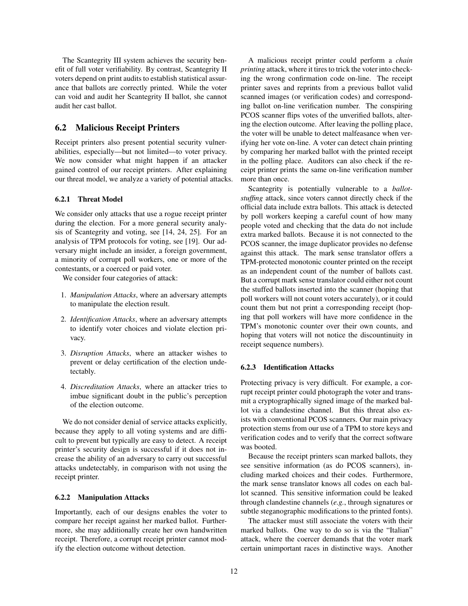The Scantegrity III system achieves the security benefit of full voter verifiability. By contrast, Scantegrity II voters depend on print audits to establish statistical assurance that ballots are correctly printed. While the voter can void and audit her Scantegrity II ballot, she cannot audit her cast ballot.

# <span id="page-11-0"></span>6.2 Malicious Receipt Printers

Receipt printers also present potential security vulnerabilities, especially—but not limited—to voter privacy. We now consider what might happen if an attacker gained control of our receipt printers. After explaining our threat model, we analyze a variety of potential attacks.

#### 6.2.1 Threat Model

We consider only attacks that use a rogue receipt printer during the election. For a more general security analysis of Scantegrity and voting, see [\[14,](#page-14-0) [24,](#page-14-26) [25\]](#page-14-27). For an analysis of TPM protocols for voting, see [\[19\]](#page-14-18). Our adversary might include an insider, a foreign government, a minority of corrupt poll workers, one or more of the contestants, or a coerced or paid voter.

We consider four categories of attack:

- 1. *Manipulation Attacks*, where an adversary attempts to manipulate the election result.
- 2. *Identification Attacks*, where an adversary attempts to identify voter choices and violate election privacy.
- 3. *Disruption Attacks*, where an attacker wishes to prevent or delay certification of the election undetectably.
- 4. *Discreditation Attacks*, where an attacker tries to imbue significant doubt in the public's perception of the election outcome.

We do not consider denial of service attacks explicitly, because they apply to all voting systems and are difficult to prevent but typically are easy to detect. A receipt printer's security design is successful if it does not increase the ability of an adversary to carry out successful attacks undetectably, in comparison with not using the receipt printer.

### 6.2.2 Manipulation Attacks

Importantly, each of our designs enables the voter to compare her receipt against her marked ballot. Furthermore, she may additionally create her own handwritten receipt. Therefore, a corrupt receipt printer cannot modify the election outcome without detection.

A malicious receipt printer could perform a *chain printing* attack, where it tires to trick the voter into checking the wrong confirmation code on-line. The receipt printer saves and reprints from a previous ballot valid scanned images (or verification codes) and corresponding ballot on-line verification number. The conspiring PCOS scanner flips votes of the unverified ballots, altering the election outcome. After leaving the polling place, the voter will be unable to detect malfeasance when verifying her vote on-line. A voter can detect chain printing by comparing her marked ballot with the printed receipt in the polling place. Auditors can also check if the receipt printer prints the same on-line verification number more than once.

Scantegrity is potentially vulnerable to a *ballotstuffing* attack, since voters cannot directly check if the official data include extra ballots. This attack is detected by poll workers keeping a careful count of how many people voted and checking that the data do not include extra marked ballots. Because it is not connected to the PCOS scanner, the image duplicator provides no defense against this attack. The mark sense translator offers a TPM-protected monotonic counter printed on the receipt as an independent count of the number of ballots cast. But a corrupt mark sense translator could either not count the stuffed ballots inserted into the scanner (hoping that poll workers will not count voters accurately), or it could count them but not print a corresponding receipt (hoping that poll workers will have more confidence in the TPM's monotonic counter over their own counts, and hoping that voters will not notice the discountinuity in receipt sequence numbers).

#### 6.2.3 Identification Attacks

Protecting privacy is very difficult. For example, a corrupt receipt printer could photograph the voter and transmit a cryptographically signed image of the marked ballot via a clandestine channel. But this threat also exists with conventional PCOS scanners. Our main privacy protection stems from our use of a TPM to store keys and verification codes and to verify that the correct software was booted.

Because the receipt printers scan marked ballots, they see sensitive information (as do PCOS scanners), including marked choices and their codes. Furthermore, the mark sense translator knows all codes on each ballot scanned. This sensitive information could be leaked through clandestine channels (*e.g.*, through signatures or subtle steganographic modifications to the printed fonts).

The attacker must still associate the voters with their marked ballots. One way to do so is via the "Italian" attack, where the coercer demands that the voter mark certain unimportant races in distinctive ways. Another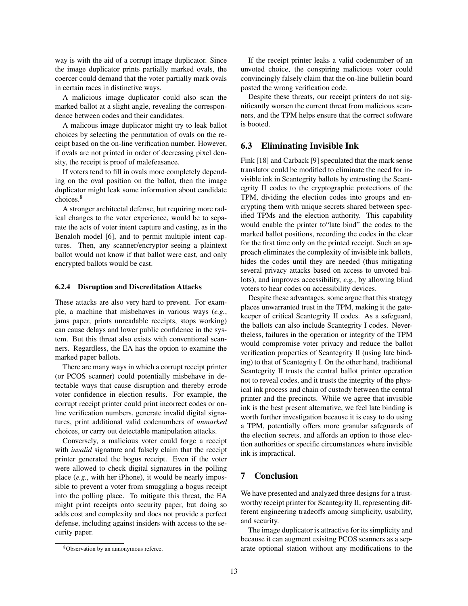way is with the aid of a corrupt image duplicator. Since the image duplicator prints partially marked ovals, the coercer could demand that the voter partially mark ovals in certain races in distinctive ways.

A malicious image duplicator could also scan the marked ballot at a slight angle, revealing the correspondence between codes and their candidates.

A malicous image duplicator might try to leak ballot choices by selecting the permutation of ovals on the receipt based on the on-line verification number. However, if ovals are not printed in order of decreasing pixel density, the receipt is proof of malefeasance.

If voters tend to fill in ovals more completely depending on the oval position on the ballot, then the image duplicator might leak some information about candidate choices.[8](#page-12-1)

A stronger architectal defense, but requiring more radical changes to the voter experience, would be to separate the acts of voter intent capture and casting, as in the Benaloh model [\[6\]](#page-13-7), and to permit multiple intent captures. Then, any scanner/encryptor seeing a plaintext ballot would not know if that ballot were cast, and only encrypted ballots would be cast.

#### 6.2.4 Disruption and Discreditation Attacks

These attacks are also very hard to prevent. For example, a machine that misbehaves in various ways (*e.g.*, jams paper, prints unreadable receipts, stops working) can cause delays and lower public confidence in the system. But this threat also exists with conventional scanners. Regardless, the EA has the option to examine the marked paper ballots.

There are many ways in which a corrupt receipt printer (or PCOS scanner) could potentially misbehave in detectable ways that cause disruption and thereby errode voter confidence in election results. For example, the corrupt receipt printer could print incorrect codes or online verification numbers, generate invalid digital signatures, print additional valid codenumbers of *unmarked* choices, or carry out detectable manipulation attacks.

Conversely, a malicious voter could forge a receipt with *invalid* signature and falsely claim that the receipt printer generated the bogus receipt. Even if the voter were allowed to check digital signatures in the polling place (*e.g.*, with her iPhone), it would be nearly impossible to prevent a voter from smuggling a bogus receipt into the polling place. To mitigate this threat, the EA might print receipts onto security paper, but doing so adds cost and complexity and does not provide a perfect defense, including against insiders with access to the security paper.

If the receipt printer leaks a valid codenumber of an unvoted choice, the conspiring malicious voter could convincingly falsely claim that the on-line bulletin board posted the wrong verification code.

Despite these threats, our receipt printers do not significantly worsen the current threat from malicious scanners, and the TPM helps ensure that the correct software is booted.

### 6.3 Eliminating Invisible Ink

Fink [\[18\]](#page-14-2) and Carback [\[9\]](#page-13-3) speculated that the mark sense translator could be modified to eliminate the need for invisible ink in Scantegrity ballots by entrusting the Scantegrity II codes to the cryptographic protections of the TPM, dividing the election codes into groups and encrypting them with unique secrets shared between specified TPMs and the election authority. This capability would enable the printer to"late bind" the codes to the marked ballot positions, recording the codes in the clear for the first time only on the printed receipt. Such an approach eliminates the complexity of invisible ink ballots, hides the codes until they are needed (thus mitigating several privacy attacks based on access to unvoted ballots), and improves accessibility, *e.g.*, by allowing blind voters to hear codes on accessibility devices.

Despite these advantages, some argue that this strategy places unwarranted trust in the TPM, making it the gatekeeper of critical Scantegrity II codes. As a safeguard, the ballots can also include Scantegrity I codes. Nevertheless, failures in the operation or integrity of the TPM would compromise voter privacy and reduce the ballot verification properties of Scantegrity II (using late binding) to that of Scantegrity I. On the other hand, traditional Scantegrity II trusts the central ballot printer operation not to reveal codes, and it trusts the integrity of the physical ink process and chain of custody between the central printer and the precincts. While we agree that invisible ink is the best present alternative, we feel late binding is worth further investigation because it is easy to do using a TPM, potentially offers more granular safeguards of the election secrets, and affords an option to those election authorities or specific circumstances where invisible ink is impractical.

# <span id="page-12-0"></span>7 Conclusion

We have presented and analyzed three designs for a trustworthy receipt printer for Scantegrity II, representing different engineering tradeoffs among simplicity, usability, and security.

The image duplicator is attractive for its simplicity and because it can augment exisitng PCOS scanners as a separate optional station without any modifications to the

<span id="page-12-1"></span><sup>&</sup>lt;sup>8</sup>Observation by an annonymous referee.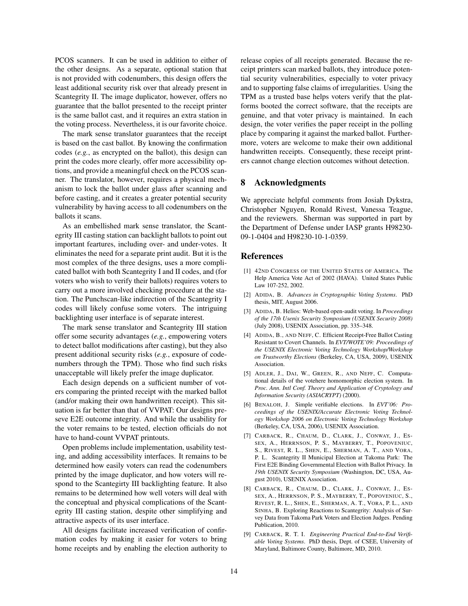PCOS scanners. It can be used in addition to either of the other designs. As a separate, optional station that is not provided with codenumbers, this design offers the least additional security risk over that already present in Scantegrity II. The image duplicator, however, offers no guarantee that the ballot presented to the receipt printer is the same ballot cast, and it requires an extra station in the voting process. Nevertheless, it is our favorite choice.

The mark sense translator guarantees that the receipt is based on the cast ballot. By knowing the confirmation codes (*e.g.*, as encrypted on the ballot), this design can print the codes more clearly, offer more accessibility options, and provide a meaningful check on the PCOS scanner. The translator, however, requires a physical mechanism to lock the ballot under glass after scanning and before casting, and it creates a greater potential security vulnerability by having access to all codenumbers on the ballots it scans.

As an embellished mark sense translator, the Scantegrity III casting station can backlight ballots to point out important feartures, including over- and under-votes. It eliminates the need for a separate print audit. But it is the most complex of the three designs, uses a more complicated ballot with both Scantegrity I and II codes, and (for voters who wish to verify their ballots) requires voters to carry out a more involved checking procedure at the station. The Punchscan-like indirection of the Scantegrity I codes will likely confuse some voters. The intriguing backlighting user interface is of separate interest.

The mark sense translator and Scantegrity III station offer some security advantages (*e.g.*, empowering voters to detect ballot modifications after casting), but they also present additional security risks (*e.g.*, exposure of codenumbers through the TPM). Those who find such risks unacceptable will likely prefer the image duplicator.

Each design depends on a sufficient number of voters comparing the printed receipt with the marked ballot (and/or making their own handwritten receipt). This situation is far better than that of VVPAT: Our designs preseve E2E outcome integrity. And while the usability for the voter remains to be tested, election officials do not have to hand-count VVPAT printouts.

Open problems include implementation, usability testing, and adding accessibility interfaces. It remains to be determined how easily voters can read the codenumbers printed by the image duplicator, and how voters will respond to the Scantegirty III backlighting feature. It also remains to be determined how well voters will deal with the conceptual and physical complications of the Scantegrity III casting station, despite other simplifying and attractive aspects of its user interface.

All designs facilitate increased verification of confirmation codes by making it easier for voters to bring home receipts and by enabling the election authority to release copies of all receipts generated. Because the receipt printers scan marked ballots, they introduce potential security vulnerabilities, especially to voter privacy and to supporting false claims of irregularities. Using the TPM as a trusted base helps voters verify that the platforms booted the correct software, that the receipts are genuine, and that voter privacy is maintained. In each design, the voter verifies the paper receipt in the polling place by comparing it against the marked ballot. Furthermore, voters are welcome to make their own additional handwritten receipts. Consequently, these receipt printers cannot change election outcomes without detection.

# 8 Acknowledgments

We appreciate helpful comments from Josiah Dykstra, Christopher Nguyen, Ronald Rivest, Vanessa Teague, and the reviewers. Sherman was supported in part by the Department of Defense under IASP grants H98230- 09-1-0404 and H98230-10-1-0359.

# References

- <span id="page-13-1"></span>[1] 42ND CONGRESS OF THE UNITED STATES OF AMERICA. The Help America Vote Act of 2002 (HAVA). United States Public Law 107-252, 2002.
- <span id="page-13-6"></span>[2] ADIDA, B. *Advances in Cryptographic Voting Systems*. PhD thesis, MIT, August 2006.
- <span id="page-13-8"></span>[3] ADIDA, B. Helios: Web-based open-audit voting. In *Proceedings of the 17th Usenix Security Symposium (USENIX Security 2008)* (July 2008), USENIX Association, pp. 335–348.
- <span id="page-13-5"></span>[4] ADIDA, B., AND NEFF, C. Efficient Receipt-Free Ballot Casting Resistant to Covert Channels. In *EVT/WOTE'09: Proceedings of the USENIX Electronic Voting Technology Workshop/Workshop on Trustworthy Elections* (Berkeley, CA, USA, 2009), USENIX Association.
- <span id="page-13-4"></span>[5] ADLER, J., DAI, W., GREEN, R., AND NEFF, C. Computational details of the votehere homomorphic election system. In *Proc. Ann. Intl Conf. Theory and Application of Cryptology and Information Security (ASIACRYPT)* (2000).
- <span id="page-13-7"></span>[6] BENALOH, J. Simple verifiable elections. In *EVT'06: Proceedings of the USENIX/Accurate Electronic Voting Technology Workshop 2006 on Electronic Voting Technology Workshop* (Berkeley, CA, USA, 2006), USENIX Association.
- <span id="page-13-0"></span>[7] CARBACK, R., CHAUM, D., CLARK, J., CONWAY, J., ES-SEX, A., HERRNSON, P. S., MAYBERRY, T., POPOVENIUC, S., RIVEST, R. L., SHEN, E., SHERMAN, A. T., AND VORA, P. L. Scantegrity II Municipal Election at Takoma Park: The First E2E Binding Governmental Election with Ballot Privacy. In *19th USENIX Security Symposium* (Washington, DC, USA, August 2010), USENIX Association.
- <span id="page-13-2"></span>[8] CARBACK, R., CHAUM, D., CLARK, J., CONWAY, J., ES-SEX, A., HERRNSON, P. S., MAYBERRY, T., POPOVENIUC, S., RIVEST, R. L., SHEN, E., SHERMAN, A. T., VORA, P. L., AND SINHA, B. Exploring Reactions to Scantegrity: Analysis of Survey Data from Takoma Park Voters and Election Judges. Pending Publication, 2010.
- <span id="page-13-3"></span>[9] CARBACK, R. T. I. *Engineering Practical End-to-End Verifiable Voting Systems*. PhD thesis, Dept. of CSEE, University of Maryland, Baltimore County, Baltimore, MD, 2010.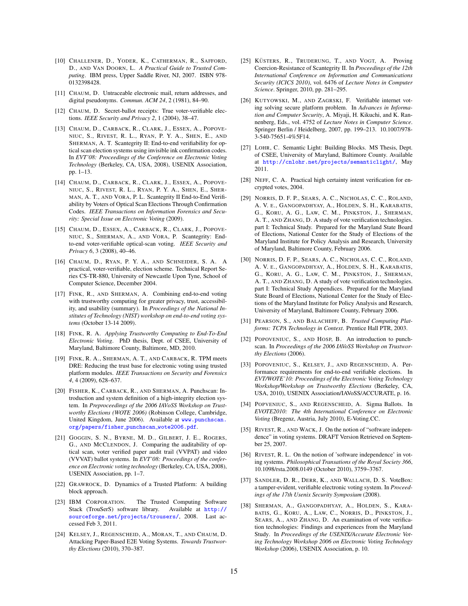- <span id="page-14-20"></span>[10] CHALLENER, D., YODER, K., CATHERMAN, R., SAFFORD, D., AND VAN DOORN, L. *A Practical Guide to Trusted Computing*. IBM press, Upper Saddle River, NJ, 2007. ISBN 978- 0132398428.
- <span id="page-14-13"></span>[11] CHAUM, D. Untraceable electronic mail, return addresses, and digital pseudonyms. *Commun. ACM 24*, 2 (1981), 84–90.
- <span id="page-14-4"></span>[12] CHAUM, D. Secret-ballot receipts: True voter-verifiable elections. *IEEE Security and Privacy 2*, 1 (2004), 38–47.
- <span id="page-14-1"></span>[13] CHAUM, D., CARBACK, R., CLARK, J., ESSEX, A., POPOVE-NIUC, S., RIVEST, R. L., RYAN, P. Y. A., SHEN, E., AND SHERMAN, A. T. Scantegrity II: End-to-end verifiability for optical scan election systems using invisible ink confirmation codes. In *EVT'08: Proceedings of the Conference on Electronic Voting Technology* (Berkeley, CA, USA, 2008), USENIX Association, pp. 1–13.
- <span id="page-14-0"></span>[14] CHAUM, D., CARBACK, R., CLARK, J., ESSEX, A., POPOVE-NIUC, S., RIVEST, R. L., RYAN, P. Y. A., SHEN, E., SHER-MAN, A. T., AND VORA, P. L. Scantegrity II End-to-End Verifiability by Voters of Optical Scan Elections Through Confirmation Codes. *IEEE Transactions on Information Forensics and Security: Special Issue on Electronic Voting* (2009).
- <span id="page-14-28"></span>[15] CHAUM, D., ESSEX, A., CARBACK, R., CLARK, J., POPOVE-NIUC, S., SHERMAN, A., AND VORA, P. Scantegrity: Endto-end voter-verifiable optical-scan voting. *IEEE Security and Privacy 6*, 3 (2008), 40–46.
- <span id="page-14-14"></span>[16] CHAUM, D., RYAN, P. Y. A., AND SCHNEIDER, S. A. A practical, voter-verifiable, election scheme. Technical Report Series CS-TR-880, University of Newcastle Upon Tyne, School of Computer Science, December 2004.
- <span id="page-14-17"></span>[17] FINK, R., AND SHERMAN, A. Combining end-to-end voting with trustworthy computing for greater privacy, trust, accessibility, and usability (summary). In *Proceedings of the National Institutes of Technology (NIST) workshop on end-to-end voting systems* (October 13-14 2009).
- <span id="page-14-2"></span>[18] FINK, R. A. *Applying Trustworthy Computing to End-To-End Electronic Voting*. PhD thesis, Dept. of CSEE, University of Maryland, Baltimore County, Baltimore, MD, 2010.
- <span id="page-14-18"></span>[19] FINK, R. A., SHERMAN, A. T., AND CARBACK, R. TPM meets DRE: Reducing the trust base for electronic voting using trusted platform modules. *IEEE Transactions on Security and Forensics 4*, 4 (2009), 628–637.
- <span id="page-14-6"></span>[20] FISHER, K., CARBACK, R., AND SHERMAN, A. Punchscan: Introduction and system definition of a high-integrity election system. In *Preproceedings of the 2006 IAVoSS Workshop on Trustworthy Elections (WOTE 2006)* (Robinson College, Cambridge, United Kingdom, June 2006). Available at [www.punchscan.](www.punchscan.org/papers/fisher_punchscan_wote2006.pdf) [org/papers/fisher](www.punchscan.org/papers/fisher_punchscan_wote2006.pdf) punchscan wote2006.pdf.
- <span id="page-14-11"></span>[21] GOGGIN, S. N., BYRNE, M. D., GILBERT, J. E., ROGERS, G., AND MCCLENDON, J. Comparing the auditability of optical scan, voter verified paper audit trail (VVPAT) and video (VVVAT) ballot systems. In *EVT'08: Proceedings of the conference on Electronic voting technology* (Berkeley, CA, USA, 2008), USENIX Association, pp. 1–7.
- <span id="page-14-25"></span>[22] GRAWROCK, D. Dynamics of a Trusted Platform: A building block approach.
- <span id="page-14-21"></span>[23] IBM CORPORATION. The Trusted Computing Software Stack (TrouSerS) software library. Available at [http://](http://sourceforge.net/projects/trousers/) [sourceforge.net/projects/trousers/](http://sourceforge.net/projects/trousers/), 2008. Last accessed Feb 3, 2011.
- <span id="page-14-26"></span>[24] KELSEY, J., REGENSCHEID, A., MORAN, T., AND CHAUM, D. Attacking Paper-Based E2E Voting Systems. *Towards Trustworthy Elections* (2010), 370–387.
- <span id="page-14-27"></span>[25] KÜSTERS, R., TRUDERUNG, T., AND VOGT, A. Proving Coercion-Resistance of Scantegrity II. In *Proceedings of the 12th International Conference on Information and Communications Security (ICICS 2010)*, vol. 6476 of *Lecture Notes in Computer Science*. Springer, 2010, pp. 281–295.
- <span id="page-14-15"></span>[26] KUTYOWSKI, M., AND ZAGRSKI, F. Verifiable internet voting solving secure platform problem. In *Advances in Information and Computer Security*, A. Miyaji, H. Kikuchi, and K. Rannenberg, Eds., vol. 4752 of *Lecture Notes in Computer Science*. Springer Berlin / Heidelberg, 2007, pp. 199–213. 10.1007/978- 3-540-75651-4%5F14.
- <span id="page-14-22"></span>[27] LOHR, C. Semantic Light: Building Blocks. MS Thesis, Dept. of CSEE, University of Maryland, Baltimore County. Available at <http://cnlohr.net/projects/semanticlight/>, May 2011.
- <span id="page-14-10"></span>[28] NEFF, C. A. Practical high certainty intent verification for encrypted votes, 2004.
- <span id="page-14-8"></span>[29] NORRIS, D. F. P., SEARS, A. C., NICHOLAS, C. C., ROLAND, A. V. E., GANGOPADHYAY, A., HOLDEN, S. H., KARABATIS, G., KORU, A. G., LAW, C. M., PINKSTON, J., SHERMAN, A. T., AND ZHANG, D. A study of vote verification technologies. part I: Technical Study. Prepared for the Maryland State Board of Elections, National Center for the Study of Elections of the Maryland Institute for Policy Analysis and Research, University of Maryland, Baltimore County, February 2006.
- <span id="page-14-9"></span>[30] NORRIS, D. F. P., SEARS, A. C., NICHOLAS, C. C., ROLAND, A. V. E., GANGOPADHYAY, A., HOLDEN, S. H., KARABATIS, G., KORU, A. G., LAW, C. M., PINKSTON, J., SHERMAN, A. T., AND ZHANG, D. A study of vote verification technologies. part I: Technical Study Appendices. Prepared for the Maryland State Board of Elections, National Center for the Study of Elections of the Maryland Institute for Policy Analysis and Research, University of Maryland, Baltimore County, February 2006.
- <span id="page-14-19"></span>[31] PEARSON, S., AND BALACHEFF, B. *Trusted Computing Platforms: TCPA Technology in Context*. Prentice Hall PTR, 2003.
- <span id="page-14-5"></span>[32] POPOVENIUC, S., AND HOSP, B. An introduction to punchscan. In *Proceedings of the 2006 IAVoSS Workshop on Trustworthy Elections* (2006).
- <span id="page-14-3"></span>[33] POPOVENIUC, S., KELSEY, J., AND REGENSCHEID, A. Performance requirements for end-to-end verifiable elections. In *EVT/WOTE'10: Proceedings of the Electronic Voting Technology Workshop/Workshop on Trustworthy Elections* (Berkeley, CA, USA, 2010), USENIX Association/IAVoSS/ACCURATE, p. 16.
- <span id="page-14-12"></span>[34] POPVENIUC, S., AND REGENSCHEID, A. Sigma Ballots. In *EVOTE2010: The 4th International Conference on Electronic Voting* (Bregenz, Austria, July 2010), E-Voting.CC.
- <span id="page-14-24"></span>[35] RIVEST, R., AND WACK, J. On the notion of "software independence" in voting systems. DRAFT Version Retrieved on September 25, 2007.
- <span id="page-14-23"></span>[36] RIVEST, R. L. On the notion of 'software independence' in voting systems. *Philosophical Transations of the Royal Society 366*, 10.1098/rsta.2008.0149 (October 2010), 3759–3767.
- <span id="page-14-16"></span>[37] SANDLER, D. R., DERR, K., AND WALLACH, D. S. VoteBox: a tamper-evident, verifiable electronic voting system. In *Proceedings of the 17th Usenix Security Symposium* (2008).
- <span id="page-14-7"></span>[38] SHERMAN, A., GANGOPADHYAY, A., HOLDEN, S., KARA-BATIS, G., KORU, A., LAW, C., NORRIS, D., PINKSTON, J., SEARS, A., AND ZHANG, D. An examination of vote verification technologies: Findings and experiences from the Maryland Study. In *Proceedings of the USENIX/Accurate Electronic Voting Technology Workshop 2006 on Electronic Voting Technology Workshop* (2006), USENIX Association, p. 10.